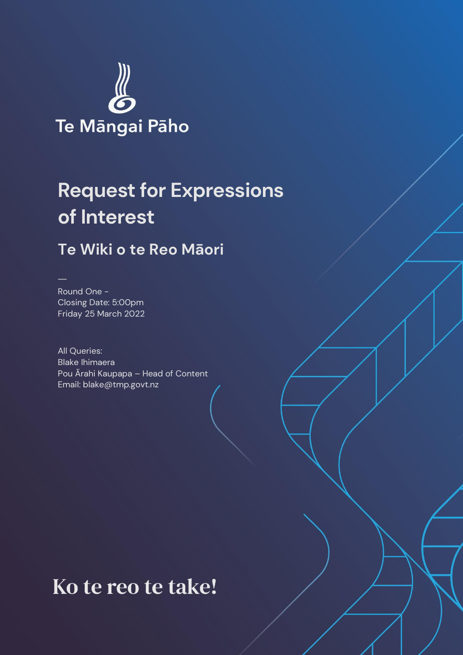

# **Request for Expressions of Interest**

### **Te Wiki o te Reo Māori**

Round One - Closing Date: 5:00pm Friday 25 March 2022

All Queries: Blake Ihimaera Pou Ārahi Kaupapa – Head of Content Email: blake@tmp.govt.nz

## Ko te reo te take!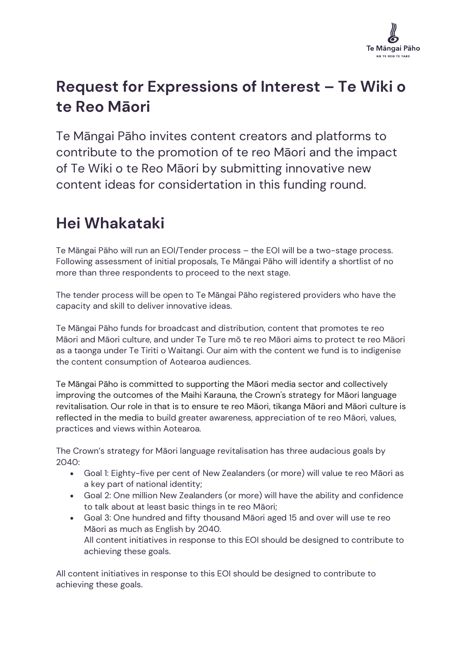

### **Request for Expressions of Interest – Te Wiki o te Reo Māori**

Te Māngai Pāho invites content creators and platforms to contribute to the promotion of te reo Māori and the impact of Te Wiki o te Reo Māori by submitting innovative new content ideas for considertation in this funding round.

### **Hei Whakataki**

Te Māngai Pāho will run an EOI/Tender process – the EOI will be a two-stage process. Following assessment of initial proposals, Te Māngai Pāho will identify a shortlist of no more than three respondents to proceed to the next stage.

The tender process will be open to Te Māngai Pāho registered providers who have the capacity and skill to deliver innovative ideas.

Te Māngai Pāho funds for broadcast and distribution, content that promotes te reo Māori and Māori culture, and under Te Ture mō te reo Māori aims to protect te reo Māori as a taonga under Te Tiriti o Waitangi. Our aim with the content we fund is to indigenise the content consumption of Aotearoa audiences.

Te Māngai Pāho is committed to supporting the Māori media sector and collectively improving the outcomes of the Maihi Karauna, the Crown's strategy for Māori language revitalisation. Our role in that is to ensure te reo Māori, tikanga Māori and Māori culture is reflected in the media to build greater awareness, appreciation of te reo Māori, values, practices and views within Aotearoa.

The Crown's strategy for Māori language revitalisation has three audacious goals by 2040:

- Goal 1: Eighty-five per cent of New Zealanders (or more) will value te reo Māori as a key part of national identity;
- Goal 2: One million New Zealanders (or more) will have the ability and confidence to talk about at least basic things in te reo Māori;
- Goal 3: One hundred and fifty thousand Māori aged 15 and over will use te reo Māori as much as English by 2040. All content initiatives in response to this EOI should be designed to contribute to achieving these goals.

All content initiatives in response to this EOI should be designed to contribute to achieving these goals.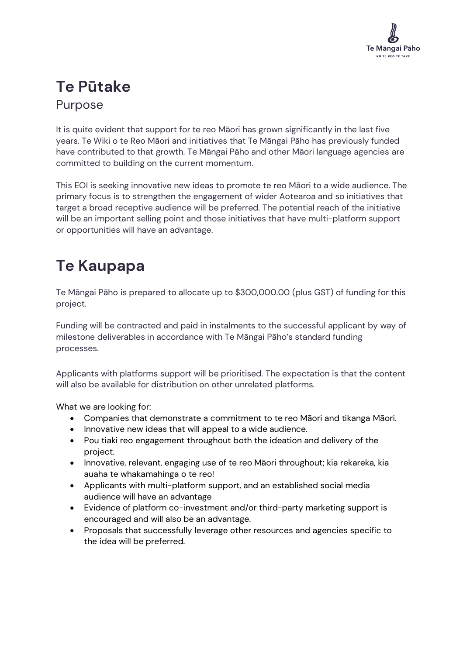

### **Te Pūtake** Purpose

It is quite evident that support for te reo Māori has grown significantly in the last five years. Te Wiki o te Reo Māori and initiatives that Te Māngai Pāho has previously funded have contributed to that growth. Te Māngai Pāho and other Māori language agencies are committed to building on the current momentum.

This EOI is seeking innovative new ideas to promote te reo Māori to a wide audience. The primary focus is to strengthen the engagement of wider Aotearoa and so initiatives that target a broad receptive audience will be preferred. The potential reach of the initiative will be an important selling point and those initiatives that have multi-platform support or opportunities will have an advantage.

### **Te Kaupapa**

Te Māngai Pāho is prepared to allocate up to \$300,000.00 (plus GST) of funding for this project.

Funding will be contracted and paid in instalments to the successful applicant by way of milestone deliverables in accordance with Te Māngai Pāho's standard funding processes.

Applicants with platforms support will be prioritised. The expectation is that the content will also be available for distribution on other unrelated platforms.

What we are looking for:

- Companies that demonstrate a commitment to te reo Māori and tikanga Māori.
- Innovative new ideas that will appeal to a wide audience.
- Pou tiaki reo engagement throughout both the ideation and delivery of the project.
- Innovative, relevant, engaging use of te reo Māori throughout; kia rekareka, kia auaha te whakamahinga o te reo!
- Applicants with multi-platform support, and an established social media audience will have an advantage
- Evidence of platform co-investment and/or third-party marketing support is encouraged and will also be an advantage.
- Proposals that successfully leverage other resources and agencies specific to the idea will be preferred.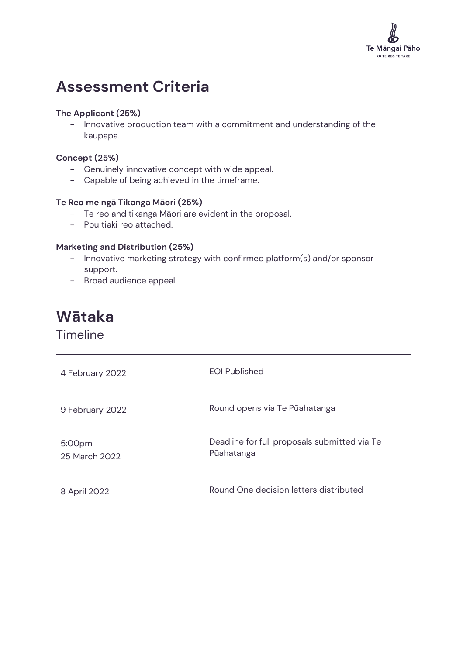

### **Assessment Criteria**

#### **The Applicant (25%)**

- Innovative production team with a commitment and understanding of the kaupapa.

#### **Concept (25%)**

- Genuinely innovative concept with wide appeal.
- Capable of being achieved in the timeframe.

#### **Te Reo me ngā Tikanga Māori (25%)**

- Te reo and tikanga Māori are evident in the proposal.
- Pou tiaki reo attached.

#### **Marketing and Distribution (25%)**

- Innovative marketing strategy with confirmed platform(s) and/or sponsor support.
- Broad audience appeal.

# **Wātaka**

Timeline

| 4 February 2022         | <b>EOI Published</b>                                       |
|-------------------------|------------------------------------------------------------|
| 9 February 2022         | Round opens via Te Pūahatanga                              |
| 5:00pm<br>25 March 2022 | Deadline for full proposals submitted via Te<br>Pūahatanga |
| 8 April 2022            | Round One decision letters distributed                     |